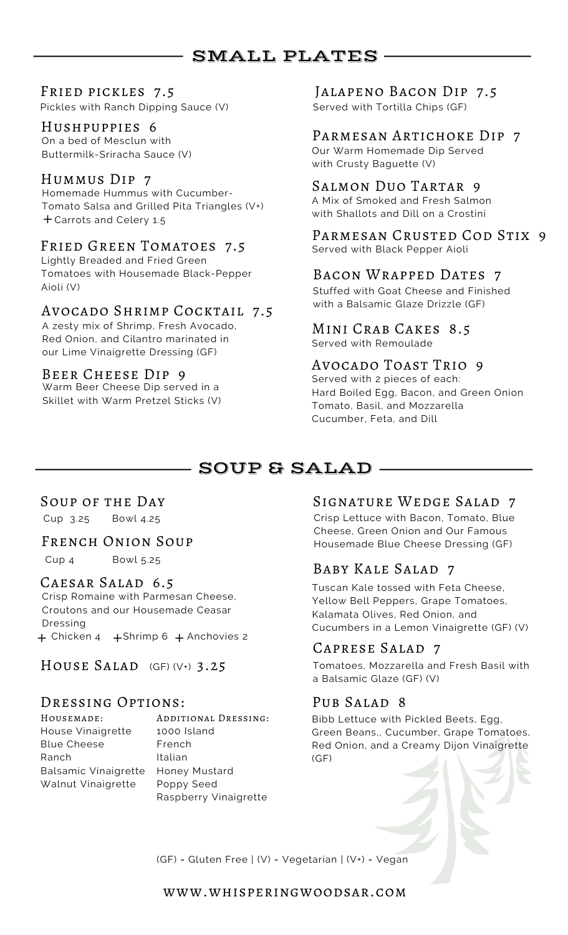# SMALL PLATES

Pickles with Ranch Dipping Sauce (V)

Buttermilk-Sriracha Sauce (V)

# Hummus Dip 7

Homemade Hummus with Cucumber-Tomato Salsa and Grilled Pita Triangles (V+) + Carrots and Celery 1.5

# FRIED GREEN TOMATOES 7.5

Lightly Breaded and Fried Green Tomatoes with Housemade Black-Pepper Aioli (V)

# Avocado Shrimp Cocktail 7.5

A zesty mix of Shrimp, Fresh Avocado, Red Onion, and Cilantro marinated in our Lime Vinaigrette Dressing (GF)

## Beer Cheese Dip 9

Warm Beer Cheese Dip served in a Skillet with Warm Pretzel Sticks (V)

# FRIED PICKLES 7.5 JALAPENO BACON DIP 7.5<br>Pickles with Ranch Dipping Sauce (V) Served with Tortilla Chips (GF)

# HUSHPUPPIES 6<br>
On a bed of Mesclun with<br>
Buttermilk-Srizacha Sauce (V) Our Warm Homemade Dip Served

with Crusty Baguette (V)

## Salmon Duo Tartar 9

A Mix of Smoked and Fresh Salmon with Shallots and Dill on a Crostini

PARMESAN CRUSTED COD STIX 9 Served with Black Pepper Aioli

# Bacon Wrapped Dates 7

Stuffed with Goat Cheese and Finished with a Balsamic Glaze Drizzle (GF)

Mini Crab Cakes 8.5 Served with Remoulade

# Avocado Toast Trio 9

Served with 2 pieces of each: Hard Boiled Egg, Bacon, and Green Onion Tomato, Basil, and Mozzarella Cucumber, Feta, and Dill

# SOUP & SALAD

Cup 3.25 Bowl 4.25

Cup 4 Bowl 5.25

#### CAESAR SALAD 6.5

Crisp Romaine with Parmesan Cheese, Croutons and our Housemade Ceasar Dressing  $+$  Chicken 4  $+$  Shrimp 6  $+$  Anchovies 2

HOUSE SALAD  $(GF) (V+)$  3.25

## Dressing Options:

Housemade: House Vinaigrette Blue Cheese Ranch Balsamic Vinaigrette Walnut Vinaigrette

Additional Dressing: 1000 Island French Italian Honey Mustard Poppy Seed Raspberry Vinaigrette

# SOUP OF THE DAY SIGNATURE WEDGE SALAD 7

Crisp Lettuce with Bacon, Tomato, Blue Cheese, Green Onion and Our Famous FRENCH ONION SOUP Housemade Blue Cheese Dressing (GF)

# Baby Kale Salad 7

Tuscan Kale tossed with Feta Cheese, Yellow Bell Peppers, Grape Tomatoes, Kalamata Olives, Red Onion, and Cucumbers in a Lemon Vinaigrette (GF) (V)

# Caprese Salad 7

Tomatoes, Mozzarella and Fresh Basil with a Balsamic Glaze (GF) (V)

# PUB SALAD<sub>8</sub>

Bibb Lettuce with Pickled Beets, Egg, Green Beans,, Cucumber, Grape Tomatoes, Red Onion, and a Creamy Dijon Vinaigrette (GF)

(GF) = Gluten Free | (V) = Vegetarian | (V+) = Vegan

www.whisperingwoodsar.com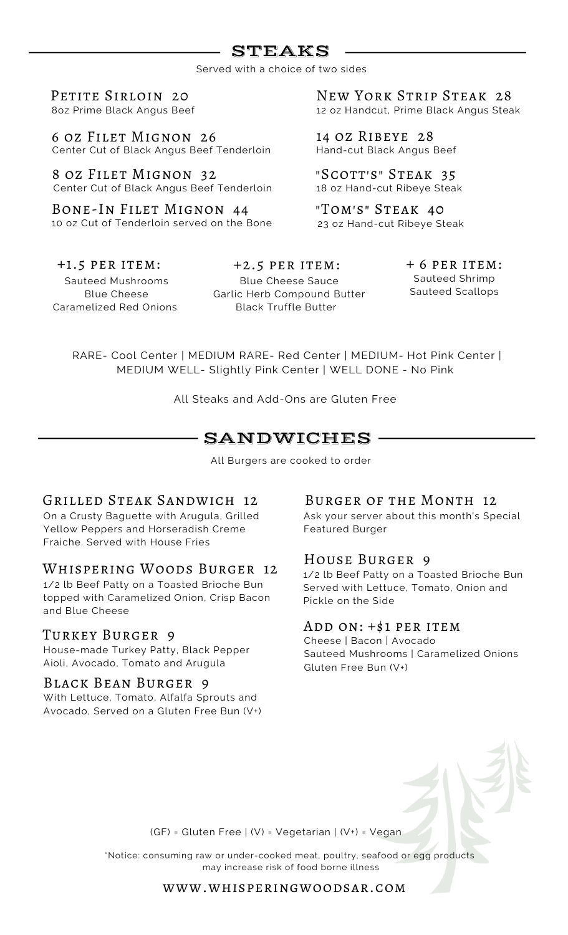# STEAKS

Served with a choice of two sides

PETITE SIRLOIN 20 8oz Prime Black Angus Beef

6 oz Filet Mignon 26 Center Cut of Black Angus Beef Tenderloin

8 oz Filet Mignon 32 Center Cut of Black Angus Beef Tenderloin

Bone-In Filet Mignon 44 10 oz Cut of Tenderloin served on the Bone New York Strip Steak 28 12 oz Handcut, Prime Black Angus Steak

14 oz Ribeye 28 Hand-cut Black Angus Beef

"Scott's" Steak 35 18 oz Hand-cut Ribeye Steak

"Tom's" Steak 40 23 oz Hand-cut Ribeye Steak

Sauteed Mushrooms Blue Cheese Caramelized Red Onions +1.5 per item:

Blue Cheese Sauce Garlic Herb Compound Butter

Black Truffle Butter

 $+2.5$  PER ITEM:  $+6$  PER ITEM: Sauteed Shrimp Sauteed Scallops

RARE- Cool Center | MEDIUM RARE- Red Center | MEDIUM- Hot Pink Center | MEDIUM WELL- Slightly Pink Center | WELL DONE - No Pink

All Steaks and Add-Ons are Gluten Free

# SANDWICHES

All Burgers are cooked to order

#### Grilled Steak Sandwich 12

On a Crusty Baguette with Arugula, Grilled Yellow Peppers and Horseradish Creme Fraiche. Served with House Fries

#### Whispering Woods Burger 12

1/2 lb Beef Patty on a Toasted Brioche Bun topped with Caramelized Onion, Crisp Bacon and Blue Cheese

#### Turkey Burger 9

House-made Turkey Patty, Black Pepper Aioli, Avocado, Tomato and Arugula

#### Black Bean Burger 9

With Lettuce, Tomato, Alfalfa Sprouts and Avocado, Served on a Gluten Free Bun (V+)

#### Burger of the Month 12

Ask your server about this month's Special Featured Burger

#### House Burger 9

1/2 lb Beef Patty on a Toasted Brioche Bun Served with Lettuce, Tomato, Onion and Pickle on the Side

### Add on: +\$1 per item

Cheese | Bacon | Avocado Sauteed Mushrooms | Caramelized Onions Gluten Free Bun (V+)

(GF) = Gluten Free | (V) = Vegetarian | (V+) = Vegan

\*Notice: consuming raw or under-cooked meat, poultry, seafood or egg products may increase risk of food borne illness

#### www.whisperingwoodsar.com